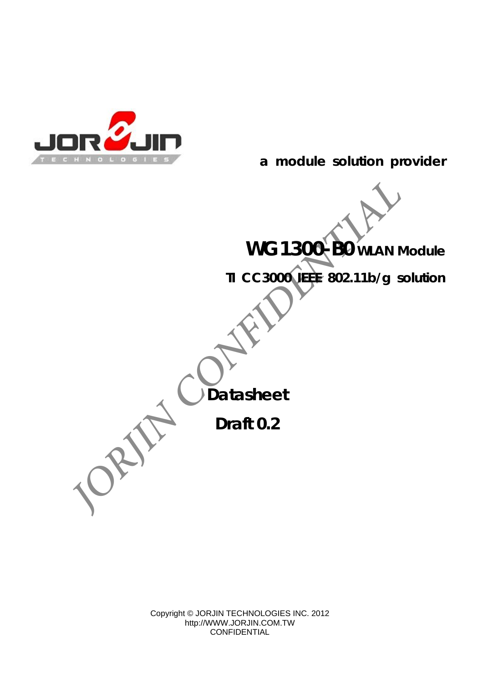

 **a module solution provider**

**WG1300-B0 WLAN Module** 

**TI CC3000 IEEE 802.11b/g solution** 

**Datasheet** 

**Draft 0.2** 

Copyright © JORJIN TECHNOLOGIES INC. 2012 http://WWW.JORJIN.COM.TW CONFIDENTIAL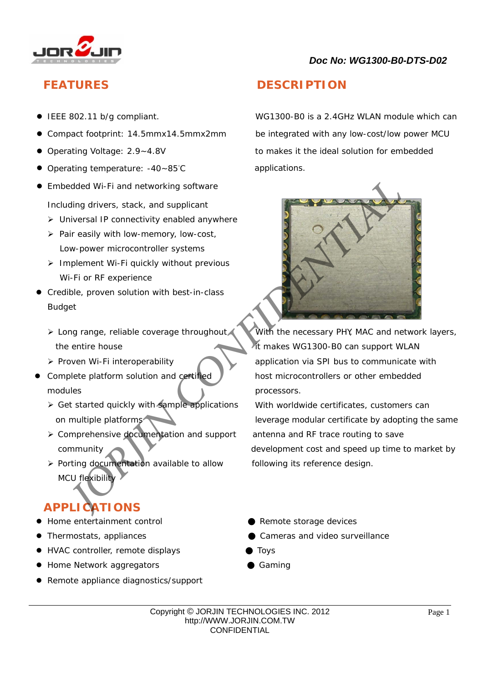

- 
- 
- 
- Operating temperature: -40~85°C applications.
- **•** Embedded Wi-Fi and networking software Including drivers, stack, and supplicant
	- > Universal IP connectivity enabled anywhere
	- $\triangleright$  Pair easily with low-memory, low-cost, Low-power microcontroller systems
	- $\triangleright$  Implement Wi-Fi quickly without previous Wi-Fi or RF experience
- Credible, proven solution with best-in-class Budget
	- the entire house it makes WG1300-B0 can support WLAN
	-
- modules **processors.** 
	- ▶ Get started quickly with sample applications With worldwide certificates, customers can
	- > Comprehensive documentation and support antenna and RF trace routing to save
	- $\triangleright$  Porting documentation available to allow following its reference design. MCU flexibility

## **APPLICATIONS**

- Home entertainment control Remote storage devices
- 

 $\overline{a}$ 

- HVAC controller, remote displays Toys
- Home Network aggregators **by Caming** Gaming
- Remote appliance diagnostics/support

## **FEATURES DESCRIPTION**

● IEEE 802.11 b/g compliant. WG1300-B0 is a 2.4GHz WLAN module which can Compact footprint: 14.5mmx14.5mmx2mm be integrated with any low-cost/low power MCU Operating Voltage: 2.9~4.8V to makes it the ideal solution for embedded



> Long range, reliable coverage throughout With the necessary PHY, MAC and network layers,  $\triangleright$  Proven Wi-Fi interoperability application via SPI bus to communicate with Complete platform solution and certified  $\sqrt{\phantom{a}}$  host microcontrollers or other embedded

on multiple platforms leverage modular certificate by adopting the same community development cost and speed up time to market by

- 
- Thermostats, appliances Cameras and video surveillance
	-
	-

Copyright © JORJIN TECHNOLOGIES INC. 2012 http://WWW.JORJIN.COM.TW **CONFIDENTIAL**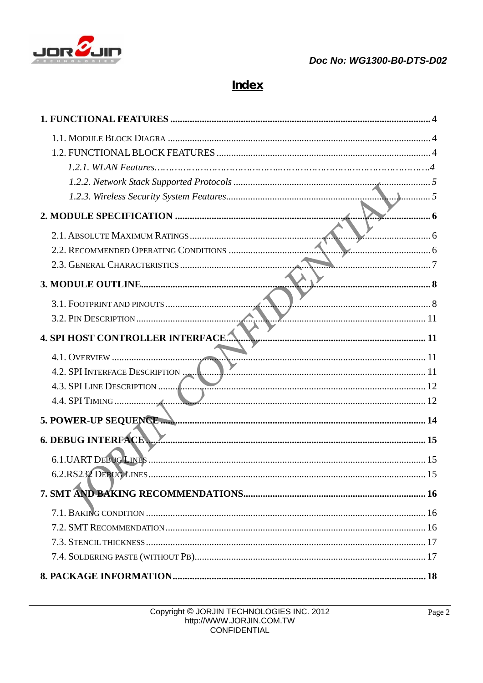

## **Index**

| $\mathbf{L}$ $\mathbf{L}$ 5      |  |
|----------------------------------|--|
|                                  |  |
|                                  |  |
|                                  |  |
|                                  |  |
|                                  |  |
|                                  |  |
|                                  |  |
| 4. SPI HOST CONTROLLER INTERFACE |  |
|                                  |  |
| 4.2. SPI INTERFACE DESCRIPTION   |  |
| 4.3. SPI LINE DESCRIPTION        |  |
|                                  |  |
|                                  |  |
| <b>6. DEBUG INTERFACE</b>        |  |
| <b>6.1. UART DEBUG LINES</b>     |  |
|                                  |  |
|                                  |  |
|                                  |  |
|                                  |  |
|                                  |  |
|                                  |  |
|                                  |  |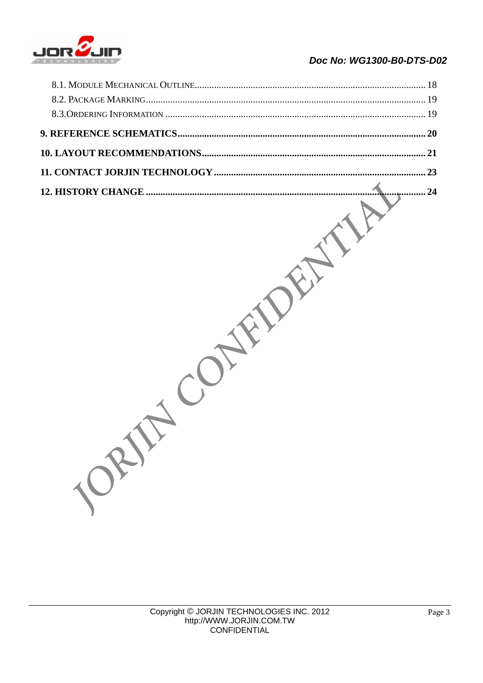

|     | 24 |
|-----|----|
| ORY |    |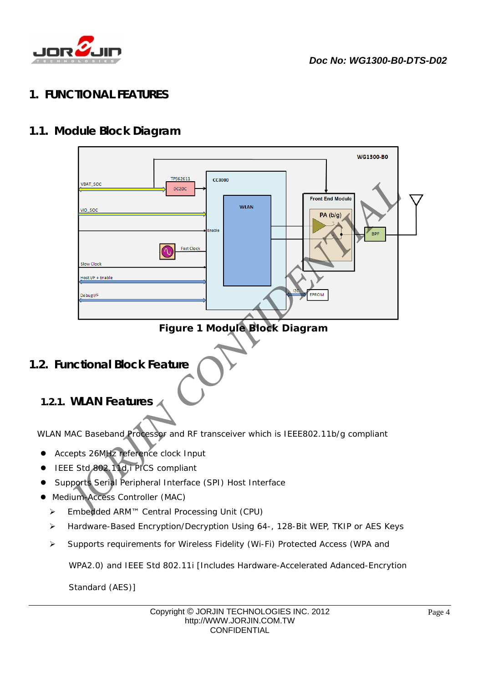

## **1. FUNCTIONAL FEATURES**

## **1.1. Module Block Diagram**

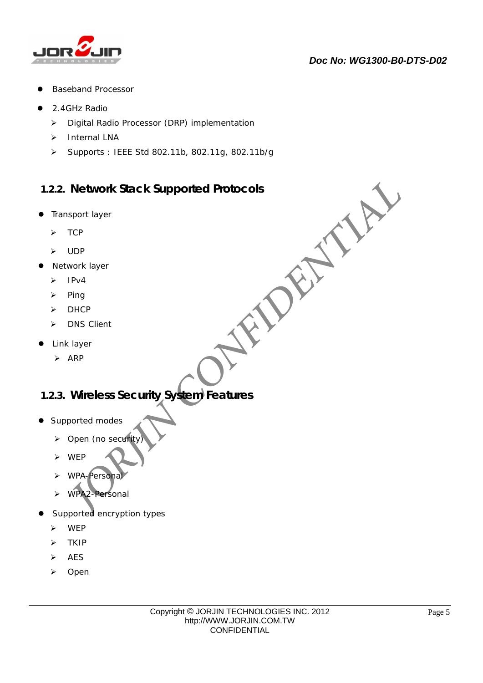

- Baseband Processor
- 2.4GHz Radio
	- Digital Radio Processor (DRP) implementation
	- > Internal LNA
	- Supports : IEEE Std 802.11b, 802.11g, 802.11b/g

## **1.2.2. Network Stack Supported Protocols**  *JORJIN CONFIDENTIAL*

- **•** Transport layer
	- $\triangleright$  TCP
	- UDP
- Network layer
	- $\triangleright$  IPv4
	- $\triangleright$  Ping
	- $\triangleright$  DHCP
	- > DNS Client
- Link layer
	- $\triangleright$  ARP

## **1.2.3. Wireless Security System Features**

- Supported modes
	- $\triangleright$  Open (no security
	- WEP
	- WPA-Personal
	- WPA2-Personal
- Supported encryption types
	- WEP
	- $\triangleright$  TKIP
	- $\triangleright$  AES
	- > Open

 $\overline{a}$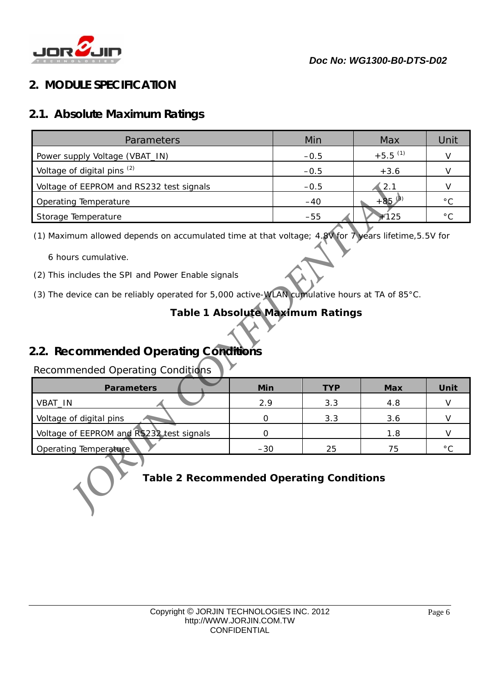

## **2. MODULE SPECIFICATION**

## **2.1. Absolute Maximum Ratings**

| Parameters                                                                                                                                                                                                                       |                                  | Min        | Max                   | Unit                   |
|----------------------------------------------------------------------------------------------------------------------------------------------------------------------------------------------------------------------------------|----------------------------------|------------|-----------------------|------------------------|
| Power supply Voltage (VBAT_IN)                                                                                                                                                                                                   |                                  | $-0.5$     | $+5.5$ <sup>(1)</sup> |                        |
| Voltage of digital pins <sup>(2)</sup>                                                                                                                                                                                           |                                  | $-0.5$     | $+3.6$                |                        |
| Voltage of EEPROM and RS232 test signals                                                                                                                                                                                         |                                  | $-0.5$     | 2.1                   |                        |
| Operating Temperature                                                                                                                                                                                                            |                                  | $-40$      | $+85^{(3)}$           | $^{\circ} \text{C}$    |
| Storage Temperature                                                                                                                                                                                                              |                                  | $-55$      | $+125$                | $^{\circ} \text{C}$    |
| 6 hours cumulative.                                                                                                                                                                                                              |                                  |            |                       |                        |
| (2) This includes the SPI and Power Enable signals<br>(3) The device can be reliably operated for 5,000 active-WLAN cumulative hours at TA of 85°C.<br>2.2. Recommended Operating Conditions<br>Recommended Operating Conditions | Table 1 Absolute Maximum Ratings |            |                       |                        |
| <b>Parameters</b>                                                                                                                                                                                                                | Min                              | <b>TYP</b> | <b>Max</b>            | Unit                   |
| VBAT_IN                                                                                                                                                                                                                          | 2.9                              | 3.3        | 4.8                   |                        |
| Voltage of digital pins                                                                                                                                                                                                          | 0                                | 3.3        | 3.6                   |                        |
| Voltage of EEPROM and RS232 test signals<br>Operating Temperature                                                                                                                                                                | $\mathbf 0$<br>$-30$             | 25         | 1.8<br>75             | $\vee$<br>$^{\circ}$ C |

 $\overline{a}$ 

- (2) This includes the SPI and Power Enable signals
- (3) The device can be reliably operated for 5,000 active-WLAN cumulative hours at TA of 85°C.

## **Table 1 Absolute Maximum Ratings**

## **2.2. Recommended Operating Conditions**

## Recommended Operating Conditions

| <b>Parameters</b>                        | Min   | <b>TYP</b> | Max | Unit           |
|------------------------------------------|-------|------------|-----|----------------|
| VBAT_IN                                  | 2.9   | 3.3        | 4.8 |                |
| Voltage of digital pins                  |       | 3.3        | 3.6 |                |
| Voltage of EEPROM and RS232 test signals |       |            | 1.8 |                |
| Operating Temperature                    | $-30$ | 25         | 75  | $\circ$ $\cap$ |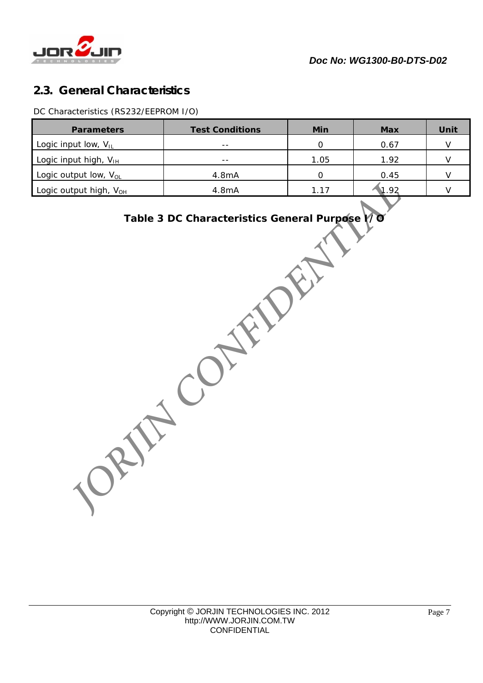

## **2.3. General Characteristics**

DC Characteristics (RS232/EEPROM I/O)

| <b>Parameters</b>                  | <b>Test Conditions</b> | Min  | <b>Max</b> | Unit |
|------------------------------------|------------------------|------|------------|------|
| Logic input low, $V_{IL}$          | $- -$                  |      | 0.67       |      |
| Logic input high, $V_{\text{IH}}$  | $- -$                  | 1.05 | 1.92       |      |
| Logic output low, $V_{OL}$         | 4.8mA                  |      | 0.45       |      |
| Logic output high, V <sub>OH</sub> | 4.8mA                  | 1.17 | 1.92       |      |

# **Table 3 DC Characteristics General Purpose I/O ORIFIC CONFIDENTIAL**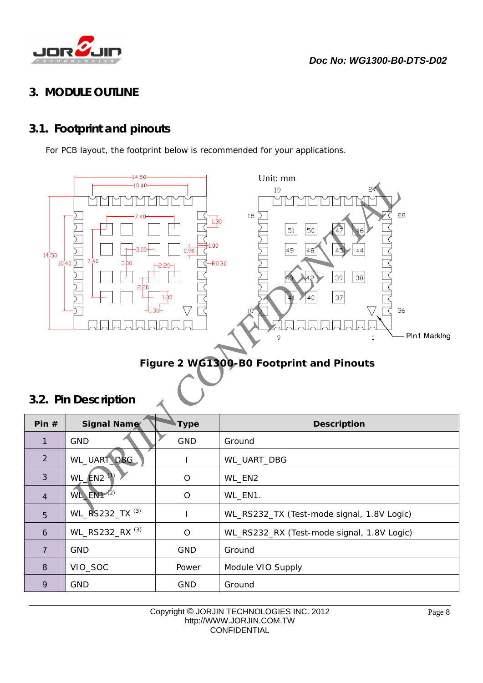

## **3. MODULE OUTLINE**

## **3.1. Footprint and pinouts**

For PCB layout, the footprint below is recommended for your applications.



## **Figure 2 WG1300-B0 Footprint and Pinouts**

## **3.2. Pin Description**

 $\overline{a}$ 

| Pin $#$        | <b>Signal Name</b>                   | <b>Type</b> | <b>Description</b>                         |
|----------------|--------------------------------------|-------------|--------------------------------------------|
| 1              | <b>GND</b>                           | <b>GND</b>  | Ground                                     |
| 2              | WL_UART_DBG_                         |             | WL_UART_DBG                                |
| 3              | $WL$ $EN2$ <sup><math>V</math></sup> | $\circ$     | WL_EN2                                     |
| $\overline{4}$ | $W_L$ EN1 $(2)$                      | $\Omega$    | WL_EN1.                                    |
| 5              | WL_RS232_TX <sup>(3)</sup>           |             | WL_RS232_TX (Test-mode signal, 1.8V Logic) |
| 6              | WL_RS232_RX <sup>(3)</sup>           | O           | WL_RS232_RX (Test-mode signal, 1.8V Logic) |
| $\overline{7}$ | <b>GND</b>                           | <b>GND</b>  | Ground                                     |
| 8              | VIO_SOC                              | Power       | Module VIO Supply                          |
| 9              | <b>GND</b>                           | <b>GND</b>  | Ground                                     |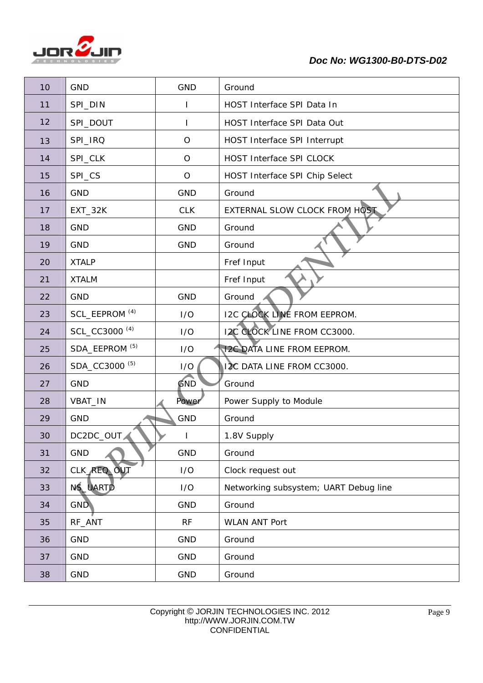

## *Doc No: WG1300-B0-DTS-D02*

| 10 | <b>GND</b>                | <b>GND</b>   | Ground                                |
|----|---------------------------|--------------|---------------------------------------|
| 11 | SPI_DIN                   |              | HOST Interface SPI Data In            |
| 12 | SPI_DOUT                  |              | HOST Interface SPI Data Out           |
| 13 | SPI_IRQ                   | $\circ$      | HOST Interface SPI Interrupt          |
| 14 | SPI_CLK                   | $\circ$      | HOST Interface SPI CLOCK              |
| 15 | SPI_CS                    | $\circ$      | HOST Interface SPI Chip Select        |
| 16 | <b>GND</b>                | <b>GND</b>   | Ground                                |
| 17 | $EXT_32K$                 | <b>CLK</b>   | EXTERNAL SLOW CLOCK FROM HOST         |
| 18 | <b>GND</b>                | <b>GND</b>   | Ground                                |
| 19 | <b>GND</b>                | GND          | Ground                                |
| 20 | <b>XTALP</b>              |              | Fref Input                            |
| 21 | <b>XTALM</b>              |              | Fref Input                            |
| 22 | <b>GND</b>                | <b>GND</b>   | Ground                                |
| 23 | SCL_EEPROM <sup>(4)</sup> | I/O          | <b>I2C CLOCK LINE FROM EEPROM.</b>    |
| 24 | SCL_CC3000 <sup>(4)</sup> | I/O          | <b>12C CLOCK LINE FROM CC3000.</b>    |
| 25 | SDA_EEPROM <sup>(5)</sup> | I/O          | <b>12C DATA LINE FROM EEPROM.</b>     |
| 26 | SDA_CC3000 <sup>(5)</sup> | I/O          | 12C DATA LINE FROM CC3000.            |
| 27 | <b>GND</b>                | GND          | Ground                                |
| 28 | VBAT_IN                   | Power        | Power Supply to Module                |
| 29 | <b>GND</b>                | <b>GND</b>   | Ground                                |
| 30 | DC2DC_OUT                 | $\mathbf{I}$ | 1.8V Supply                           |
| 31 | GND                       | GND          | Ground                                |
| 32 | CLK_REQ_OUT               | I/O          | Clock request out                     |
| 33 | NS_UARTD                  | I/O          | Networking subsystem; UART Debug line |
| 34 | <b>GND</b>                | <b>GND</b>   | Ground                                |
| 35 | RF_ANT                    | RF           | <b>WLAN ANT Port</b>                  |
| 36 | <b>GND</b>                | <b>GND</b>   | Ground                                |
| 37 | <b>GND</b>                | <b>GND</b>   | Ground                                |
| 38 | <b>GND</b>                | GND          | Ground                                |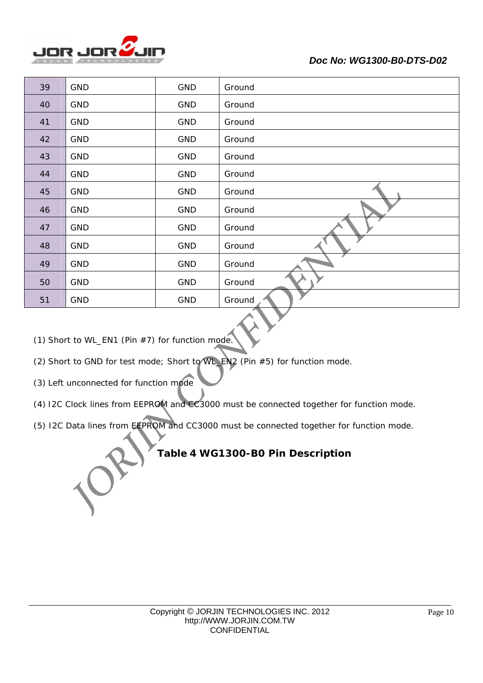

| 39                                                                                                                                                                       | <b>GND</b> | <b>GND</b> | Ground |  |
|--------------------------------------------------------------------------------------------------------------------------------------------------------------------------|------------|------------|--------|--|
| 40                                                                                                                                                                       | <b>GND</b> | <b>GND</b> | Ground |  |
| 41                                                                                                                                                                       | <b>GND</b> | <b>GND</b> | Ground |  |
| 42                                                                                                                                                                       | <b>GND</b> | <b>GND</b> | Ground |  |
| 43                                                                                                                                                                       | GND        | <b>GND</b> | Ground |  |
| 44                                                                                                                                                                       | GND        | <b>GND</b> | Ground |  |
| 45                                                                                                                                                                       | <b>GND</b> | <b>GND</b> | Ground |  |
| 46                                                                                                                                                                       | <b>GND</b> | <b>GND</b> | Ground |  |
| 47                                                                                                                                                                       | <b>GND</b> | GND        | Ground |  |
| 48                                                                                                                                                                       | <b>GND</b> | <b>GND</b> | Ground |  |
| 49                                                                                                                                                                       | GND        | <b>GND</b> | Ground |  |
| 50                                                                                                                                                                       | <b>GND</b> | <b>GND</b> | Ground |  |
| 51                                                                                                                                                                       | <b>GND</b> | <b>GND</b> | Ground |  |
| (1) Short to WL_EN1 (Pin #7) for function mode.<br>(2) Short to GND for test mode; Short to WL_EN2 (Pin #5) for function mode.<br>(3) Left unconnected for function mode |            |            |        |  |
| (4) I2C Clock lines from EEPROM and CC3000 must be connected together for function mode.                                                                                 |            |            |        |  |
| (5) I2C Data lines from EEPROM and CC3000 must be connected together for function mode.<br>Table 4 WG1300-B0 Pin Description                                             |            |            |        |  |

- (2) Short to GND for test mode; Short to WL\_EN2 (Pin #5) for function mode.
- (3) Left unconnected for function mode

 $\overline{a}$ 

- (4) I2C Clock lines from EEPROM and CC3000 must be connected together for function mode.
- (5) I2C Data lines from EEPROM and CC3000 must be connected together for function mode.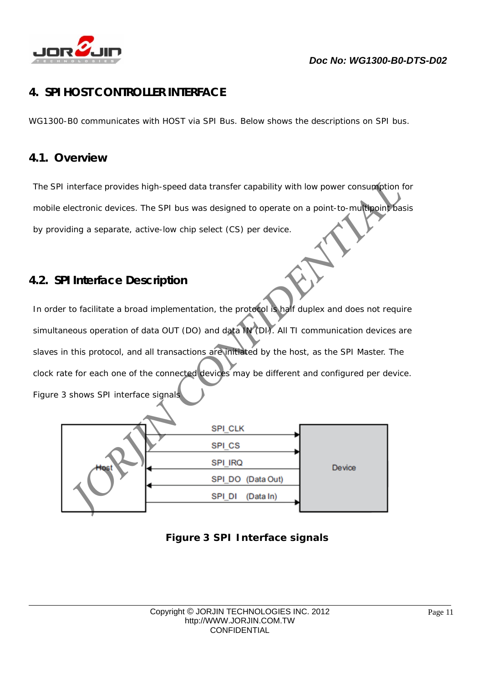

## **4. SPI HOST CONTROLLER INTERFACE**

WG1300-B0 communicates with HOST via SPI Bus. Below shows the descriptions on SPI bus.

## **4.1. Overview**

 $\overline{a}$ 

The SPI interface provides high-speed data transfer capability with low power consumption for mobile electronic devices. The SPI bus was designed to operate on a point-to-multipoint basis by providing a separate, active-low chip select (CS) per device.

## **4.2. SPI Interface Description**

In order to facilitate a broad implementation, the protocol is half duplex and does not require simultaneous operation of data OUT (DO) and data IN (DI). All TI communication devices are slaves in this protocol, and all transactions are initiated by the host, as the SPI Master. The clock rate for each one of the connected devices may be different and configured per device. Figure 3 shows SPI interface signals **FOR A SPI HOST CONTROLLER INTERFACE**<br>
WG1300-BD communitaries with HOST via SPI Bus. Below shows the descriptions on SPI bus.<br> **4.1.** Overview<br>
The SPI interface provides high-speed data transfer capability with low power

|      | SPI_CLK             |        |
|------|---------------------|--------|
|      | SPI_CS              |        |
| Host | SPI IRQ             | Device |
|      | SPI_DO (Data Out)   |        |
|      | (Data In)<br>SPI_DI |        |
|      |                     |        |

## **Figure 3 SPI Interface signals**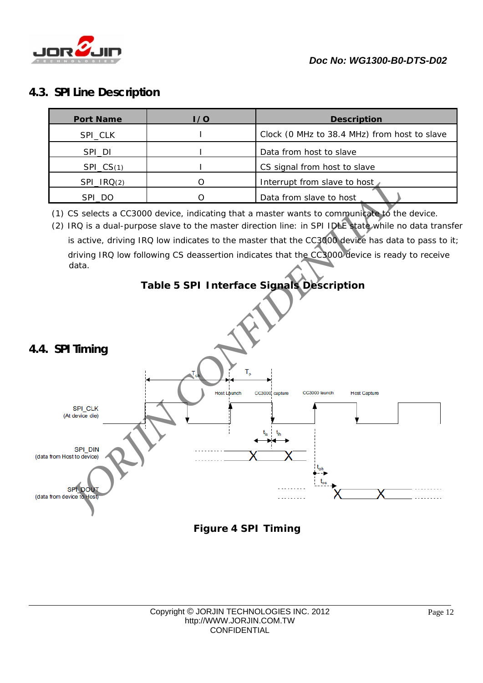

## **4.3. SPI Line Description**

| <b>Port Name</b> | I / O | <b>Description</b>                           |
|------------------|-------|----------------------------------------------|
| SPI_CLK          |       | Clock (0 MHz to 38.4 MHz) from host to slave |
| SPI_DI           |       | Data from host to slave                      |
| $SPI_C(S(1)$     |       | CS signal from host to slave                 |
| SPI_IRQ(2)       |       | Interrupt from slave to host                 |
| SPI_DO           |       | Data from slave to host                      |

(1) CS selects a CC3000 device, indicating that a master wants to communicate to the device.

(2) IRQ is a dual-purpose slave to the master direction line: in SPI IDLE state while no data transfer is active, driving IRQ low indicates to the master that the CC3000 device has data to pass to it; driving IRQ low following CS deassertion indicates that the CC3000 device is ready to receive data.

## **Table 5 SPI Interface Signals Description**



 $\overline{a}$ 



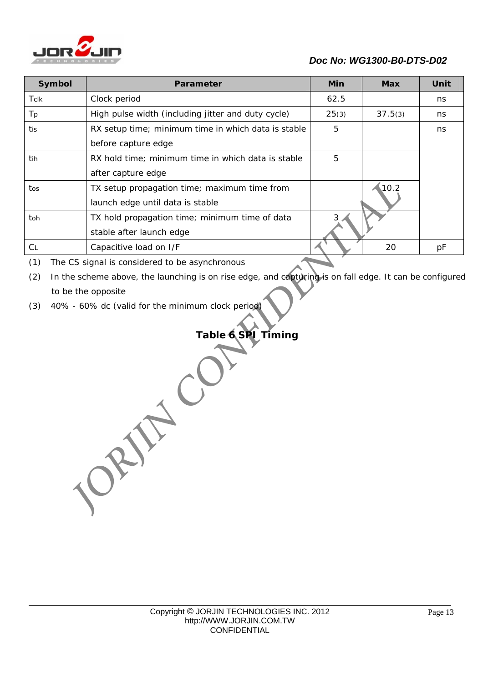

## *Doc No: WG1300-B0-DTS-D02*

| Symbol    | Parameter                                           | <b>Min</b> | <b>Max</b> | Unit |
|-----------|-----------------------------------------------------|------------|------------|------|
| Tclk      | Clock period                                        | 62.5       |            | ns   |
| Tp        | High pulse width (including jitter and duty cycle)  | 25(3)      | 37.5(3)    | ns   |
| tis       | RX setup time; minimum time in which data is stable | 5          |            | ns   |
|           | before capture edge                                 |            |            |      |
| tih       | RX hold time; minimum time in which data is stable  | 5          |            |      |
|           | after capture edge                                  |            |            |      |
| tos       | TX setup propagation time; maximum time from        |            | 10.2       |      |
|           | launch edge until data is stable                    |            |            |      |
| toh       | TX hold propagation time; minimum time of data      |            |            |      |
|           | stable after launch edge                            |            |            |      |
| <b>CL</b> | Capacitive load on I/F                              |            | 20         | рF   |
|           |                                                     |            |            |      |

(1) The CS signal is considered to be asynchronous

(2) In the scheme above, the launching is on rise edge, and capturing is on fall edge. It can be configured to be the opposite

(3) 40% - 60% dc (valid for the minimum clock period)

## **Table 6 SPI Timing** *JORJIN CONFIDENTIAL*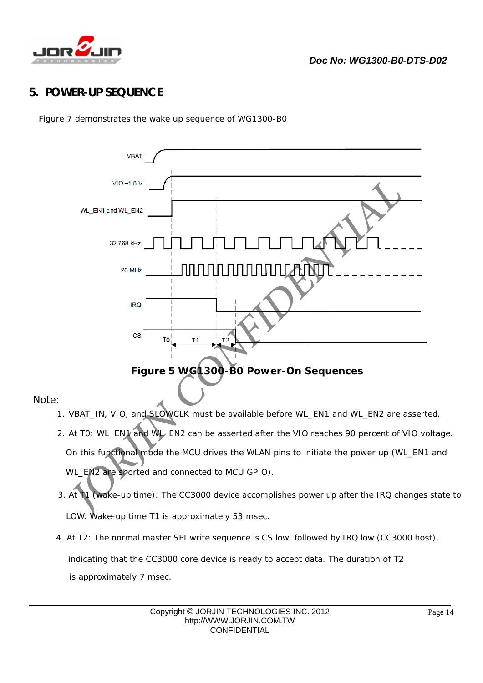

## **5. POWER-UP SEQUENCE**

Figure 7 demonstrates the wake up sequence of WG1300-B0



Note:

 $\overline{a}$ 

- 1. VBAT\_IN, VIO, and SLOWCLK must be available before WL\_EN1 and WL\_EN2 are asserted.
- 2. At T0: WL\_EN1 and WL\_EN2 can be asserted after the VIO reaches 90 percent of VIO voltage. On this functional mode the MCU drives the WLAN pins to initiate the power up (WL\_EN1 and WL\_EN2 are shorted and connected to MCU GPIO).
- 3. At T1 (wake-up time): The CC3000 device accomplishes power up after the IRQ changes state to LOW. Wake-up time T1 is approximately 53 msec.
- 4. At T2: The normal master SPI write sequence is CS low, followed by IRQ low (CC3000 host), indicating that the CC3000 core device is ready to accept data. The duration of T2 is approximately 7 msec.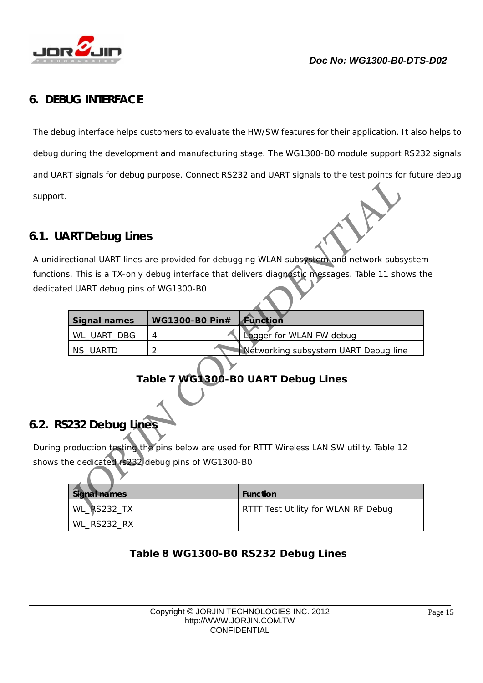

## **6. DEBUG INTERFACE**

The debug interface helps customers to evaluate the HW/SW features for their application. It also helps to debug during the development and manufacturing stage. The WG1300-B0 module support RS232 signals and UART signals for debug purpose. Connect RS232 and UART signals to the test points for future debug support. **1.** The debug interface helps customers to evaluate the HWSW features for their application. It also helps<br>to debug interface helps customers to evaluate the HWSW features for their application. It also helps<br>debug during

## **6.1. UART Debug Lines**

A unidirectional UART lines are provided for debugging WLAN subsystem and network subsystem functions. This is a TX-only debug interface that delivers diagnostic messages. Table 11 shows the dedicated UART debug pins of WG1300-B0

| Signal names | <b>WG1300-B0 Pin#</b> | Function                             |
|--------------|-----------------------|--------------------------------------|
| WL UART DBG  |                       | Logger for WLAN FW debug             |
| NS_UARTD     |                       | Networking subsystem UART Debug line |

## **Table 7 WG1300-B0 UART Debug Lines**

## **6.2. RS232 Debug Lines**

 $\overline{a}$ 

During production testing the pins below are used for RTTT Wireless LAN SW utility. Table 12 shows the dedicated rs232 debug pins of WG1300-B0

| Signal names | <b>Function</b>                     |
|--------------|-------------------------------------|
| WL_RS232_TX  | RTTT Test Utility for WLAN RF Debug |
| WL_RS232_RX  |                                     |

## **Table 8 WG1300-B0 RS232 Debug Lines**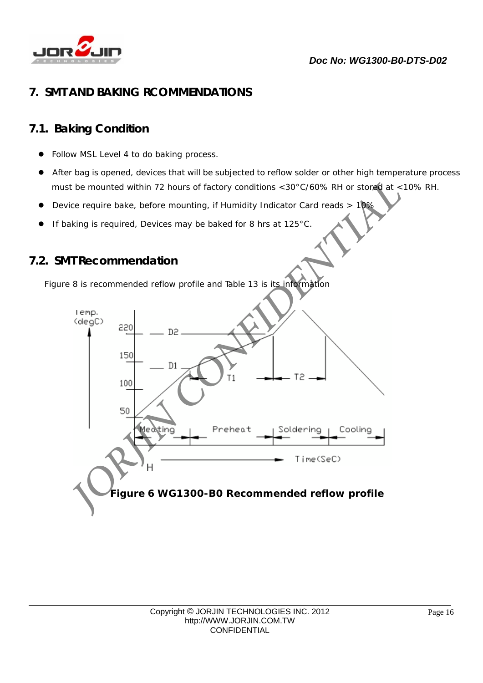

## **7. SMT AND BAKING RCOMMENDATIONS**

## **7.1. Baking Condition**

- Follow MSL Level 4 to do baking process.
- After bag is opened, devices that will be subjected to reflow solder or other high temperature process must be mounted within 72 hours of factory conditions <30°C/60% RH or stored at <10% RH.
- Device require bake, before mounting, if Humidity Indicator Card reads > 10%
- If baking is required, Devices may be baked for 8 hrs at 125°C.

## **7.2. SMT Recommendation**

 $\overline{a}$ 

Figure 8 is recommended reflow profile and Table 13 is its information

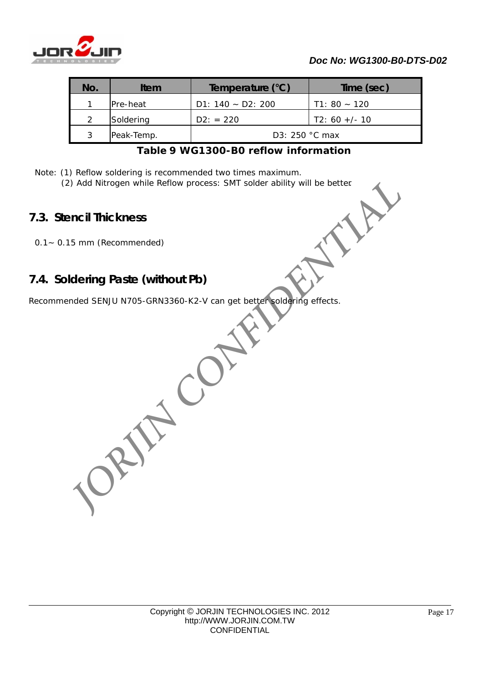

| No. | Item       | Temperature (°C)     | Time (sec)      |
|-----|------------|----------------------|-----------------|
|     | IPre-heat  | D1: $140 - D2$ : 200 | $T1: 80 - 120$  |
| っ   | Soldering  | $D2: = 220$          | $T2: 60 +/- 10$ |
| 3   | Peak-Temp. | $D3: 250 °C$ max     |                 |

## **Table 9 WG1300-B0 reflow information**

Note: (1) Reflow soldering is recommended two times maximum.

(2) Add Nitrogen while Reflow process: SMT solder ability will be better.<br> **tencil Thickness**<br>
1.15 mm (Recommended)

## **7.3. Stencil Thickness**

 $\overline{a}$ 

0.1~ 0.15 mm (Recommended)

## **7.4. Soldering Paste (without Pb)**

Recommended SENJU N705-GRN3360-K2-V can get better soldering effects.

*JORJIN CONFIDENTIAL*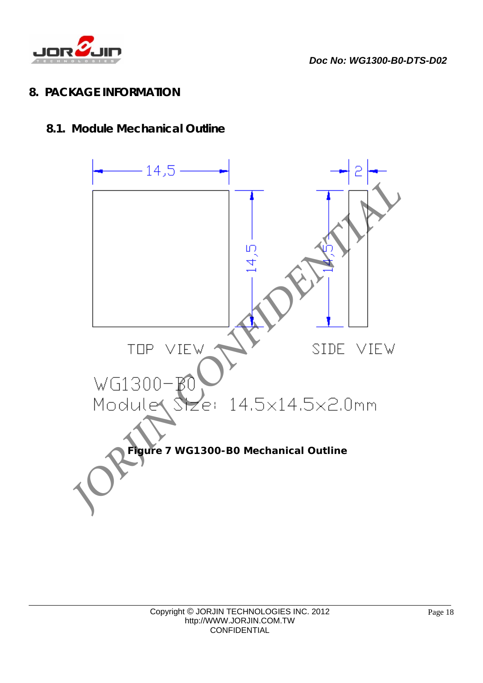

*Doc No: WG1300-B0-DTS-D02* 

## **8. PACKAGE INFORMATION**

## **8.1. Module Mechanical Outline**

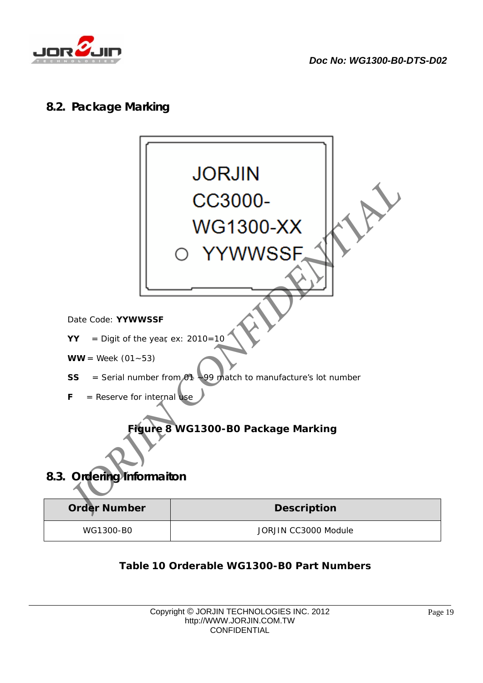

## **8.2. Package Marking**



| WG1300-B0 |  |
|-----------|--|

 $\overline{a}$ 

JORJIN CC3000 Module

## **Table 10 Orderable WG1300-B0 Part Numbers**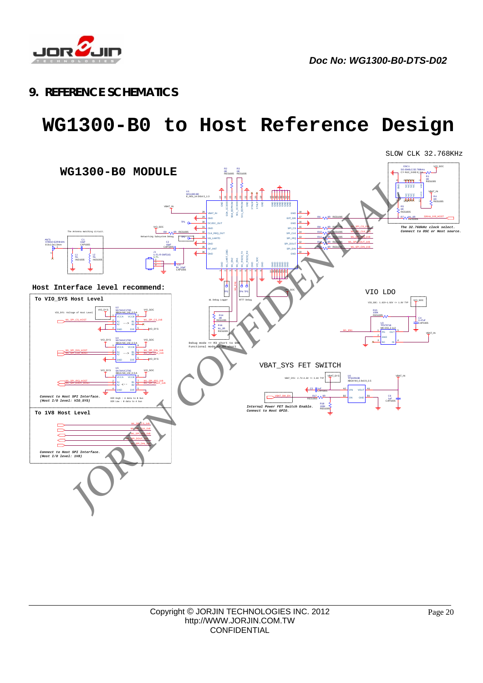

*Doc No: WG1300-B0-DTS-D02* 

## **9. REFERENCE SCHEMATICS**

## **WG1300-B0 to Host Reference Design**

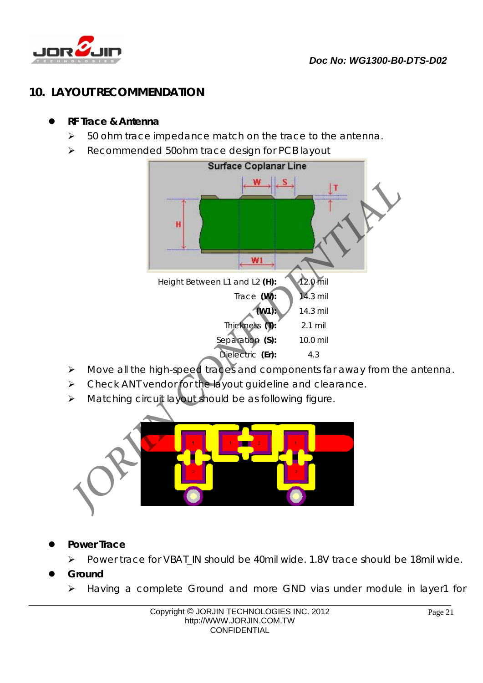

## **10. LAYOUT RECOMMENDATION**

- **RF Trace & Antenna** 
	- $\geq$  50 ohm trace impedance match on the trace to the antenna.
	- ▶ Recommended 50ohm trace design for PCB layout



- Move all the high-speed traces and components far away from the antenna.
- $\triangleright$  Check ANT vendor for the layout quideline and clearance.
- > Matching circuit layout should be as following figure.



- **Power Trace** 
	- Power trace for VBAT\_IN should be 40mil wide. 1.8V trace should be 18mil wide.
- **Ground**

 $\overline{a}$ 

Having a complete Ground and more GND vias under module in layer1 for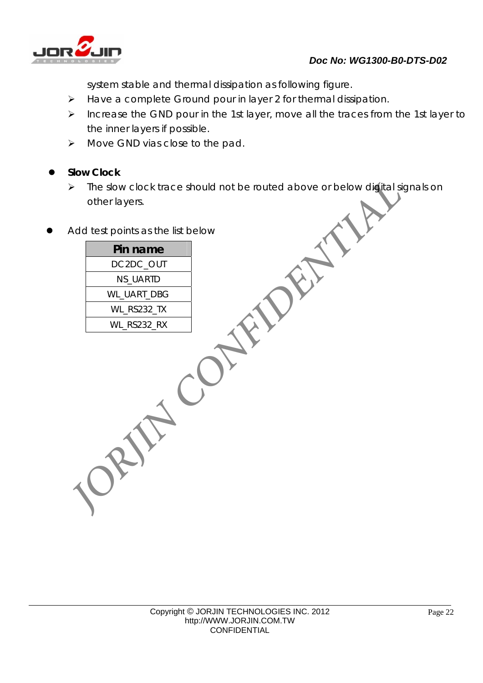

system stable and thermal dissipation as following figure.

- > Have a complete Ground pour in layer 2 for thermal dissipation.
- $\triangleright$  Increase the GND pour in the 1st layer, move all the traces from the 1st layer to the inner layers if possible. System stable and thermal dissipation as following ligure.<br> *D* Have a complete Ground pour in the 1st layer, move all the traces from the 1st layer<br>
the inner layers if possible.<br> *D* Knowe CND vias close to the pad.<br> **D** 
	- > Move GND vias close to the pad.

## **Slow Clock**

 $\overline{a}$ 

- > The slow clock trace should not be routed above or below digital signals on other layers.
- Add test points as the list below

**Pin name**  DC2DC\_OUT NS\_UARTD WL\_UART\_DBG WL\_RS232\_TX WL\_RS232\_RX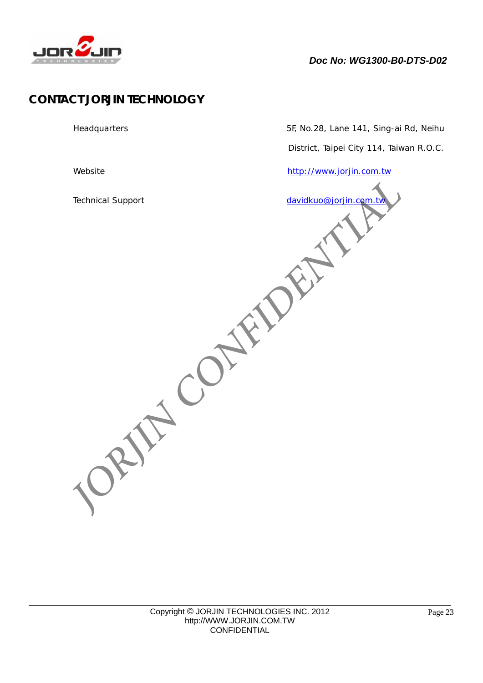

## **CONTACT JORJIN TECHNOLOGY**

 $\overline{a}$ 

Technical Support davidkuo@jorjin.com.tw

Headquarters 5F, No.28, Lane 141, Sing-ai Rd, Neihu

District, Taipei City 114, Taiwan R.O.C.

Website http://www.jorjin.com.tw

**ORIFICONFIDENTI**